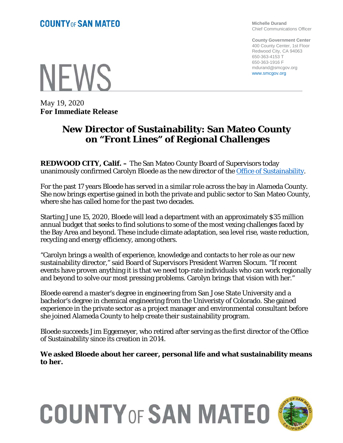**Michelle Durand** Chief Communications Officer

**County Government Center** 400 County Center, 1st Floor Redwood City, CA 94063 650-363-4153 T 650-363-1916 F mdurand@smcgov.org www.smcgov.org

**NEWS** 

May 19, 2020 **For Immediate Release**

# **New Director of Sustainability: San Mateo County on "Front Lines" of Regional Challenges**

**REDWOOD CITY, Calif. –** The San Mateo County Board of Supervisors today unanimously confirmed Carolyn Bloede as the new director of the [Office of Sustainability.](https://www.smcsustainability.org/)

For the past 17 years Bloede has served in a similar role across the bay in Alameda County. She now brings expertise gained in both the private and public sector to San Mateo County, where she has called home for the past two decades.

Starting June 15, 2020, Bloede will lead a department with an approximately \$35 million annual budget that seeks to find solutions to some of the most vexing challenges faced by the Bay Area and beyond. These include climate adaptation, sea level rise, waste reduction, recycling and energy efficiency, among others.

"Carolyn brings a wealth of experience, knowledge and contacts to her role as our new sustainability director," said Board of Supervisors President Warren Slocum. "If recent events have proven anything it is that we need top-rate individuals who can work regionally and beyond to solve our most pressing problems. Carolyn brings that vision with her."

Bloede earend a master's degree in engineering from San Jose State University and a bachelor's degree in chemical engineering from the Univeristy of Colorado. She gained experience in the private sector as a project manager and environmental consultant before she joined Alameda County to help create their sustainability program.

Bloede succeeds Jim Eggemeyer, who retired after serving as the first director of the Office of Sustainability since its creation in 2014.

**We asked Bloede about her career, personal life and what sustainability means to her.**



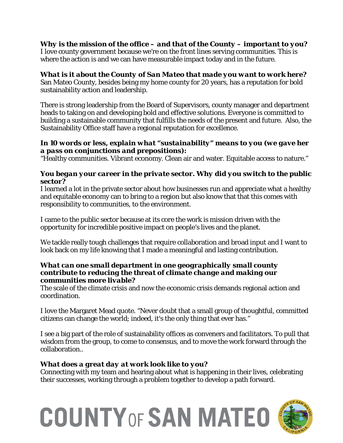*Why is the mission of the office – and that of the County – important to you?* I love county government because we're on the front lines serving communities. This is where the action is and we can have measurable impact today and in the future.

## *What is it about the County of San Mateo that made you want to work here?*

San Mateo County, besides being my home county for 20 years, has a reputation for bold sustainability action and leadership.

There is strong leadership from the Board of Supervisors, county manager and department heads to taking on and developing bold and effective solutions. Everyone is committed to building a sustainable community that fulfills the needs of the present and future. Also, the Sustainability Office staff have a regional reputation for excellence.

### *In 10 words or less, explain what "sustainability" means to you (we gave her a pass on conjunctions and prepositions):*

"Healthy communities. Vibrant economy. Clean air and water. Equitable access to nature."

#### *You began your career in the private sector. Why did you switch to the public sector?*

I learned a lot in the private sector about how businesses run and appreciate what a healthy and equitable economy can to bring to a region but also know that that this comes with responsibility to communities, to the environment.

I came to the public sector because at its core the work is mission driven with the opportunity for incredible positive impact on people's lives and the planet.

We tackle really tough challenges that require collaboration and broad input and I want to look back on my life knowing that I made a meaningful and lasting contribution.

#### *What can one small department in one geographically small county contribute to reducing the threat of climate change and making our communities more livable?*

The scale of the climate crisis and now the economic crisis demands regional action and coordination.

I love the Margaret Mead quote. "Never doubt that a small group of thoughtful, committed citizens can change the world; indeed, it's the only thing that ever has."

I see a big part of the role of sustainability offices as conveners and facilitators. To pull that wisdom from the group, to come to consensus, and to move the work forward through the collaboration..

## *What does a great day at work look like to you?*

Connecting with my team and hearing about what is happening in their lives, celebrating their successes, working through a problem together to develop a path forward.